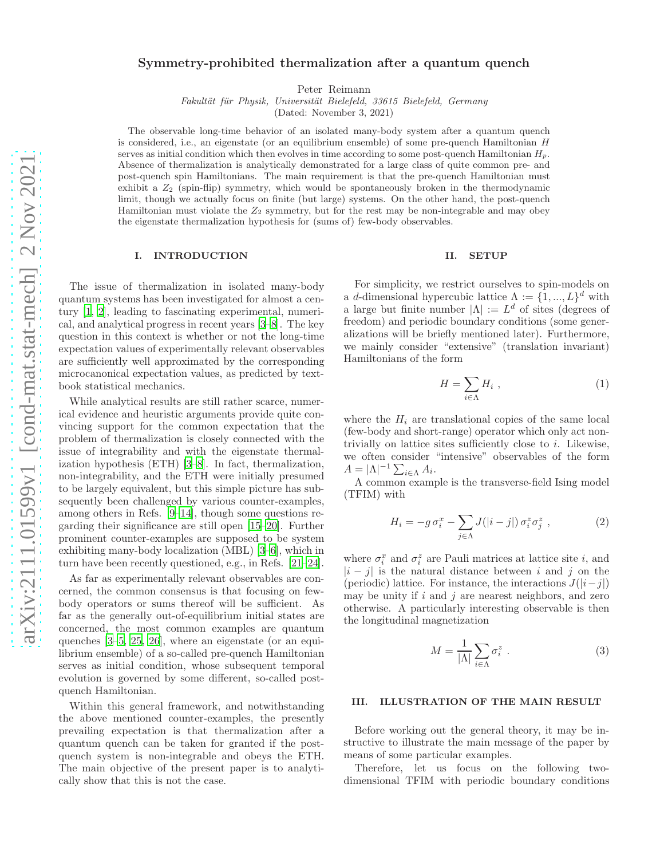# Symmetry-prohibited thermalization after a quantum quench

Peter Reimann

Fakultät für Physik, Universität Bielefeld, 33615 Bielefeld, Germany

(Dated: November 3, 2021)

The observable long-time behavior of an isolated many-body system after a quantum quench is considered, i.e., an eigenstate (or an equilibrium ensemble) of some pre-quench Hamiltonian H serves as initial condition which then evolves in time according to some post-quench Hamiltonian  $H_p$ . Absence of thermalization is analytically demonstrated for a large class of quite common pre- and post-quench spin Hamiltonians. The main requirement is that the pre-quench Hamiltonian must exhibit a  $Z_2$  (spin-flip) symmetry, which would be spontaneously broken in the thermodynamic limit, though we actually focus on finite (but large) systems. On the other hand, the post-quench Hamiltonian must violate the  $Z_2$  symmetry, but for the rest may be non-integrable and may obey the eigenstate thermalization hypothesis for (sums of) few-body observables.

# I. INTRODUCTION

The issue of thermalization in isolated many-body quantum systems has been investigated for almost a century [\[1](#page-6-0), [2\]](#page-6-1), leading to fascinating experimental, numerical, and analytical progress in recent years [\[3](#page-6-2)[–8](#page-6-3)]. The key question in this context is whether or not the long-time expectation values of experimentally relevant observables are sufficiently well approximated by the corresponding microcanonical expectation values, as predicted by textbook statistical mechanics.

While analytical results are still rather scarce, numerical evidence and heuristic arguments provide quite convincing support for the common expectation that the problem of thermalization is closely connected with the issue of integrability and with the eigenstate thermalization hypothesis (ETH) [\[3](#page-6-2)[–8\]](#page-6-3). In fact, thermalization, non-integrability, and the ETH were initially presumed to be largely equivalent, but this simple picture has subsequently been challenged by various counter-examples, among others in Refs. [\[9](#page-6-4)[–14\]](#page-6-5), though some questions regarding their significance are still open [\[15](#page-6-6)[–20\]](#page-6-7). Further prominent counter-examples are supposed to be system exhibiting many-body localization (MBL) [\[3](#page-6-2)[–6\]](#page-6-8), which in turn have been recently questioned, e.g., in Refs. [\[21](#page-6-9)[–24\]](#page-6-10).

As far as experimentally relevant observables are concerned, the common consensus is that focusing on fewbody operators or sums thereof will be sufficient. As far as the generally out-of-equilibrium initial states are concerned, the most common examples are quantum quenches [\[3](#page-6-2)[–5](#page-6-11), [25,](#page-6-12) [26](#page-6-13)], where an eigenstate (or an equilibrium ensemble) of a so-called pre-quench Hamiltonian serves as initial condition, whose subsequent temporal evolution is governed by some different, so-called postquench Hamiltonian.

Within this general framework, and notwithstanding the above mentioned counter-examples, the presently prevailing expectation is that thermalization after a quantum quench can be taken for granted if the postquench system is non-integrable and obeys the ETH. The main objective of the present paper is to analytically show that this is not the case.

## II. SETUP

For simplicity, we restrict ourselves to spin-models on a d-dimensional hypercubic lattice  $\Lambda := \{1, ..., L\}^d$  with a large but finite number  $|\Lambda| := L^d$  of sites (degrees of freedom) and periodic boundary conditions (some generalizations will be briefly mentioned later). Furthermore, we mainly consider "extensive" (translation invariant) Hamiltonians of the form

<span id="page-0-1"></span>
$$
H = \sum_{i \in \Lambda} H_i \tag{1}
$$

where the  $H_i$  are translational copies of the same local (few-body and short-range) operator which only act nontrivially on lattice sites sufficiently close to i. Likewise, we often consider "intensive" observables of the form  $A = |\Lambda|^{-1} \sum_{i \in \Lambda} A_i.$ 

A common example is the transverse-field Ising model (TFIM) with

<span id="page-0-2"></span>
$$
H_i = -g\,\sigma_i^x - \sum_{j\in\Lambda} J(|i-j|)\,\sigma_i^z\,\sigma_j^z \,,\tag{2}
$$

where  $\sigma_i^x$  and  $\sigma_i^z$  are Pauli matrices at lattice site *i*, and  $|i-j|$  is the natural distance between i and j on the (periodic) lattice. For instance, the interactions  $J(|i-j|)$ may be unity if  $i$  and  $j$  are nearest neighbors, and zero otherwise. A particularly interesting observable is then the longitudinal magnetization

<span id="page-0-0"></span>
$$
M = \frac{1}{|\Lambda|} \sum_{i \in \Lambda} \sigma_i^z \ . \tag{3}
$$

## III. ILLUSTRATION OF THE MAIN RESULT

Before working out the general theory, it may be instructive to illustrate the main message of the paper by means of some particular examples.

Therefore, let us focus on the following twodimensional TFIM with periodic boundary conditions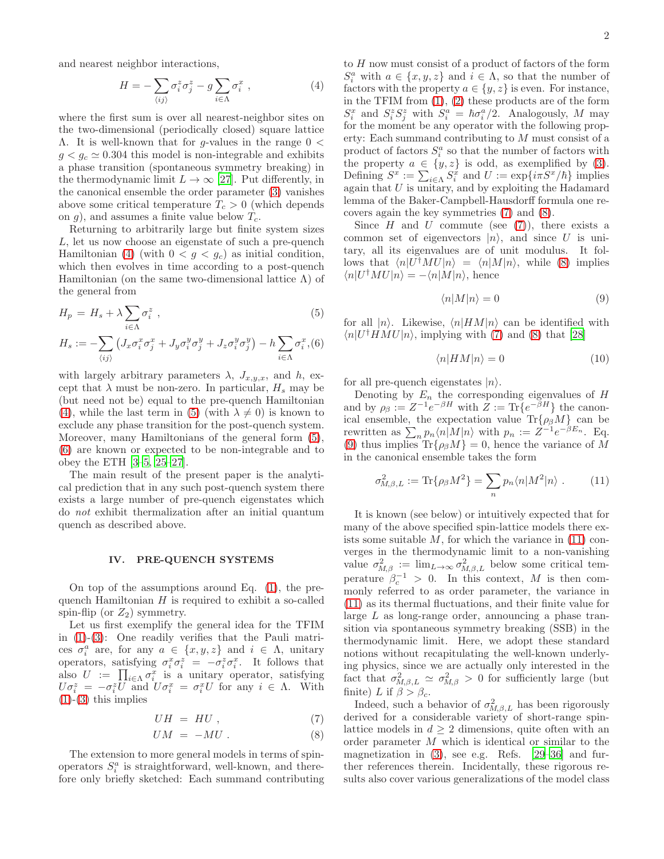and nearest neighbor interactions,

<span id="page-1-0"></span>
$$
H = -\sum_{\langle ij \rangle} \sigma_i^z \sigma_j^z - g \sum_{i \in \Lambda} \sigma_i^x , \qquad (4)
$$

where the first sum is over all nearest-neighbor sites on the two-dimensional (periodically closed) square lattice  $Λ$ . It is well-known that for *q*-values in the range  $0 <$  $g < g_c \simeq 0.304$  this model is non-integrable and exhibits a phase transition (spontaneous symmetry breaking) in the thermodynamic limit  $L \to \infty$  [\[27\]](#page-6-14). Put differently, in the canonical ensemble the order parameter [\(3\)](#page-0-0) vanishes above some critical temperature  $T_c > 0$  (which depends on g), and assumes a finite value below  $T_c$ .

Returning to arbitrarily large but finite system sizes L, let us now choose an eigenstate of such a pre-quench Hamiltonian [\(4\)](#page-1-0) (with  $0 < g < g_c$ ) as initial condition, which then evolves in time according to a post-quench Hamiltonian (on the same two-dimensional lattice  $\Lambda$ ) of the general from

<span id="page-1-1"></span>
$$
H_p = H_s + \lambda \sum_{i \in \Lambda} \sigma_i^z \t{,} \t(5)
$$

$$
H_s := -\sum_{\langle ij \rangle} \left( J_x \sigma_i^x \sigma_j^x + J_y \sigma_i^y \sigma_j^y + J_z \sigma_i^y \sigma_j^y \right) - h \sum_{i \in \Lambda} \sigma_i^x, (6)
$$

with largely arbitrary parameters  $\lambda$ ,  $J_{x,y,x}$ , and  $h$ , except that  $\lambda$  must be non-zero. In particular,  $H_s$  may be (but need not be) equal to the pre-quench Hamiltonian [\(4\)](#page-1-0), while the last term in [\(5\)](#page-1-1) (with  $\lambda \neq 0$ ) is known to exclude any phase transition for the post-quench system. Moreover, many Hamiltonians of the general form [\(5\)](#page-1-1), [\(6\)](#page-1-1) are known or expected to be non-integrable and to obey the ETH [\[3](#page-6-2)[–5,](#page-6-11) [25–](#page-6-12)[27\]](#page-6-14).

The main result of the present paper is the analytical prediction that in any such post-quench system there exists a large number of pre-quench eigenstates which do not exhibit thermalization after an initial quantum quench as described above.

## <span id="page-1-6"></span>IV. PRE-QUENCH SYSTEMS

On top of the assumptions around Eq. [\(1\)](#page-0-1), the prequench Hamiltonian  $H$  is required to exhibit a so-called spin-flip (or  $Z_2$ ) symmetry.

Let us first exemplify the general idea for the TFIM in [\(1\)](#page-0-1)-[\(3\)](#page-0-0): One readily verifies that the Pauli matrices  $\sigma_i^a$  are, for any  $a \in \{x, y, z\}$  and  $i \in \Lambda$ , unitary operators, satisfying  $\sigma_i^x \sigma_i^z = -\sigma_i^z \sigma_i^x$ . It follows that also  $U := \prod_{i \in \Lambda} \sigma_i^x$  is a unitary operator, satisfying  $U\sigma_i^z = -\sigma_i^z U$  and  $U\sigma_i^x = \sigma_i^x U$  for any  $i \in \Lambda$ . With  $(1)-(3)$  $(1)-(3)$  $(1)-(3)$  this implies

<span id="page-1-2"></span>
$$
UH = HU , \t\t(7)
$$

$$
UM = -MU. \tag{8}
$$

The extension to more general models in terms of spinoperators  $S_i^a$  is straightforward, well-known, and therefore only briefly sketched: Each summand contributing

to  $H$  now must consist of a product of factors of the form  $S_i^a$  with  $a \in \{x, y, z\}$  and  $i \in \Lambda$ , so that the number of factors with the property  $a \in \{y, z\}$  is even. For instance, in the TFIM from  $(1)$ ,  $(2)$  these products are of the form  $S_i^x$  and  $S_i^z S_j^z$  with  $S_i^a = \hbar \sigma_i^a/2$ . Analogously, M may for the moment be any operator with the following property: Each summand contributing to M must consist of a product of factors  $S_i^a$  so that the number of factors with the property  $a \in \{y, z\}$  is odd, as exemplified by [\(3\)](#page-0-0). Defining  $S^x := \sum_{i \in \Lambda} S_i^x$  and  $U := \exp\{i\pi S^x/\hbar\}$  implies again that  $U$  is unitary, and by exploiting the Hadamard lemma of the Baker-Campbell-Hausdorff formula one recovers again the key symmetries [\(7\)](#page-1-2) and [\(8\)](#page-1-2).

Since  $H$  and  $U$  commute (see [\(7\)](#page-1-2)), there exists a common set of eigenvectors  $|n\rangle$ , and since U is unitary, all its eigenvalues are of unit modulus. It follows that  $\langle n|U^{\dagger}MU|n\rangle = \langle n|M|n\rangle$ , while [\(8\)](#page-1-2) implies  $\langle n|U^{\dagger}MU|n\rangle = -\langle n|M|n\rangle$ , hence

<span id="page-1-3"></span>
$$
\langle n|M|n\rangle = 0\tag{9}
$$

for all  $|n\rangle$ . Likewise,  $\langle n|HM|n\rangle$  can be identified with  $\langle n|U^{\dagger}HMU|n\rangle$ , implying with [\(7\)](#page-1-2) and [\(8\)](#page-1-2) that [\[28\]](#page-6-15)

<span id="page-1-5"></span>
$$
\langle n|HM|n\rangle = 0\tag{10}
$$

for all pre-quench eigenstates  $|n\rangle$ .

Denoting by  $E_n$  the corresponding eigenvalues of H and by  $\rho_{\beta} := Z^{-1} e^{-\beta H}$  with  $Z := \text{Tr} \{e^{-\beta H}\}\$  the canonical ensemble, the expectation value  $\text{Tr}\{\rho_\beta M\}$  can be rewritten as  $\sum_n p_n \langle n | M | n \rangle$  with  $p_n := Z^{-1} e^{-\beta E_n}$ . Eq. [\(9\)](#page-1-3) thus implies  $\text{Tr}\{\rho_\beta M\}=0$ , hence the variance of M in the canonical ensemble takes the form

<span id="page-1-4"></span>
$$
\sigma_{M,\beta,L}^2 := \text{Tr}\{\rho_\beta M^2\} = \sum_n p_n \langle n | M^2 | n \rangle . \qquad (11)
$$

It is known (see below) or intuitively expected that for many of the above specified spin-lattice models there exists some suitable  $M$ , for which the variance in  $(11)$  converges in the thermodynamic limit to a non-vanishing value  $\sigma_{M,\beta}^2 := \lim_{L \to \infty} \sigma_{M,\beta,L}^2$  below some critical temperature  $\beta_c^{-1} > 0$ . In this context, M is then commonly referred to as order parameter, the variance in [\(11\)](#page-1-4) as its thermal fluctuations, and their finite value for large L as long-range order, announcing a phase transition via spontaneous symmetry breaking (SSB) in the thermodynamic limit. Here, we adopt these standard notions without recapitulating the well-known underlying physics, since we are actually only interested in the fact that  $\sigma_{M,\beta,L}^2 \simeq \sigma_{M,\beta}^2 > 0$  for sufficiently large (but finite) L if  $\beta > \beta_c$ .

Indeed, such a behavior of  $\sigma_{M,\beta,L}^2$  has been rigorously derived for a considerable variety of short-range spinlattice models in  $d \geq 2$  dimensions, quite often with an order parameter M which is identical or similar to the magnetization in [\(3\)](#page-0-0), see e.g. Refs. [\[29](#page-6-16)[–36\]](#page-7-0) and further references therein. Incidentally, these rigorous results also cover various generalizations of the model class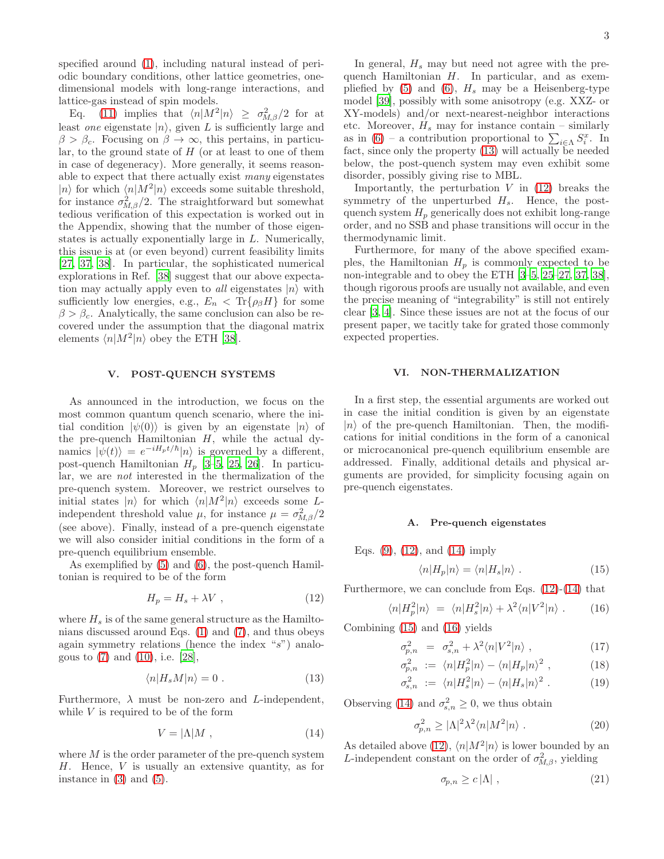specified around [\(1\)](#page-0-1), including natural instead of periodic boundary conditions, other lattice geometries, onedimensional models with long-range interactions, and lattice-gas instead of spin models.

Eq. [\(11\)](#page-1-4) implies that  $\langle n|M^2|n\rangle \geq \sigma_{M,\beta}^2/2$  for at least one eigenstate  $|n\rangle$ , given L is sufficiently large and  $\beta > \beta_c$ . Focusing on  $\beta \to \infty$ , this pertains, in particular, to the ground state of  $H$  (or at least to one of them in case of degeneracy). More generally, it seems reasonable to expect that there actually exist many eigenstates  $|n\rangle$  for which  $\langle n|M^2|n\rangle$  exceeds some suitable threshold, for instance  $\sigma_{M,\beta}^2/2$ . The straightforward but somewhat tedious verification of this expectation is worked out in the Appendix, showing that the number of those eigenstates is actually exponentially large in L. Numerically, this issue is at (or even beyond) current feasibility limits [\[27,](#page-6-14) [37,](#page-7-1) [38\]](#page-7-2). In particular, the sophisticated numerical explorations in Ref. [\[38\]](#page-7-2) suggest that our above expectation may actually apply even to *all* eigenstates  $|n\rangle$  with sufficiently low energies, e.g.,  $E_n < \text{Tr}\{\rho_\beta H\}$  for some  $\beta > \beta_c$ . Analytically, the same conclusion can also be recovered under the assumption that the diagonal matrix elements  $\langle n|M^2|n\rangle$  obey the ETH [\[38\]](#page-7-2).

## V. POST-QUENCH SYSTEMS

As announced in the introduction, we focus on the most common quantum quench scenario, where the initial condition  $|\psi(0)\rangle$  is given by an eigenstate  $|n\rangle$  of the pre-quench Hamiltonian  $H$ , while the actual dynamics  $|\psi(t)\rangle = e^{-iH_pt/\hbar}|n\rangle$  is governed by a different, post-quench Hamiltonian  $H_p$  [\[3](#page-6-2)-5, [25](#page-6-12), [26](#page-6-13)]. In particular, we are not interested in the thermalization of the pre-quench system. Moreover, we restrict ourselves to initial states  $|n\rangle$  for which  $\langle n|M^2|n\rangle$  exceeds some Lindependent threshold value  $\mu$ , for instance  $\mu = \sigma_{M,\beta}^2/2$ (see above). Finally, instead of a pre-quench eigenstate we will also consider initial conditions in the form of a pre-quench equilibrium ensemble.

As exemplified by [\(5\)](#page-1-1) and [\(6\)](#page-1-1), the post-quench Hamiltonian is required to be of the form

<span id="page-2-1"></span>
$$
H_p = H_s + \lambda V \t{,} \t(12)
$$

where  $H_s$  is of the same general structure as the Hamiltonians discussed around Eqs. [\(1\)](#page-0-1) and [\(7\)](#page-1-2), and thus obeys again symmetry relations (hence the index "s") analogous to [\(7\)](#page-1-2) and [\(10\)](#page-1-5), i.e. [\[28](#page-6-15)],

<span id="page-2-0"></span>
$$
\langle n|H_s M|n\rangle = 0. \tag{13}
$$

Furthermore,  $\lambda$  must be non-zero and *L*-independent, while V is required to be of the form

<span id="page-2-2"></span>
$$
V = |\Lambda| M \t{,} \t(14)
$$

where  $M$  is the order parameter of the pre-quench system H. Hence, V is usually an extensive quantity, as for instance in  $(3)$  and  $(5)$ .

In general,  $H_s$  may but need not agree with the prequench Hamiltonian H. In particular, and as exem-pliefied by [\(5\)](#page-1-1) and [\(6\)](#page-1-1),  $H_s$  may be a Heisenberg-type model [\[39](#page-7-3)], possibly with some anisotropy (e.g. XXZ- or XY-models) and/or next-nearest-neighbor interactions etc. Moreover,  $H_s$  may for instance contain – similarly as in [\(6\)](#page-1-1) – a contribution proportional to  $\sum_{i \in \Lambda} S_i^x$ . In fact, since only the property [\(13\)](#page-2-0) will actually be needed below, the post-quench system may even exhibit some disorder, possibly giving rise to MBL.

Importantly, the perturbation  $V$  in  $(12)$  breaks the symmetry of the unperturbed  $H_s$ . Hence, the postquench system  $H_p$  generically does not exhibit long-range order, and no SSB and phase transitions will occur in the thermodynamic limit.

Furthermore, for many of the above specified examples, the Hamiltonian  $H_p$  is commonly expected to be non-integrable and to obey the ETH [\[3](#page-6-2)[–5,](#page-6-11) [25–](#page-6-12)[27,](#page-6-14) [37,](#page-7-1) [38\]](#page-7-2), though rigorous proofs are usually not available, and even the precise meaning of "integrability" is still not entirely clear [\[3](#page-6-2), [4](#page-6-17)]. Since these issues are not at the focus of our present paper, we tacitly take for grated those commonly expected properties.

### VI. NON-THERMALIZATION

In a first step, the essential arguments are worked out in case the initial condition is given by an eigenstate  $|n\rangle$  of the pre-quench Hamiltonian. Then, the modifications for initial conditions in the form of a canonical or microcanonical pre-quench equilibrium ensemble are addressed. Finally, additional details and physical arguments are provided, for simplicity focusing again on pre-quench eigenstates.

#### <span id="page-2-8"></span>A. Pre-quench eigenstates

Eqs. [\(9\)](#page-1-3), [\(12\)](#page-2-1), and [\(14\)](#page-2-2) imply

<span id="page-2-3"></span>
$$
\langle n|H_p|n\rangle = \langle n|H_s|n\rangle . \qquad (15)
$$

Furthermore, we can conclude from Eqs.  $(12)-(14)$  $(12)-(14)$  that

<span id="page-2-4"></span>
$$
\langle n|H_p^2|n\rangle = \langle n|H_s^2|n\rangle + \lambda^2 \langle n|V^2|n\rangle . \qquad (16)
$$

Combining [\(15\)](#page-2-3) and [\(16\)](#page-2-4) yields

<span id="page-2-5"></span>
$$
\sigma_{p,n}^2 = \sigma_{s,n}^2 + \lambda^2 \langle n|V^2|n\rangle \;, \tag{17}
$$

$$
\sigma_{p,n}^2 := \langle n | H_p^2 | n \rangle - \langle n | H_p | n \rangle^2 , \qquad (18)
$$

$$
\sigma_{s,n}^2 := \langle n | H_s^2 | n \rangle - \langle n | H_s | n \rangle^2 . \tag{19}
$$

Observing [\(14\)](#page-2-2) and  $\sigma_{s,n}^2 \geq 0$ , we thus obtain

<span id="page-2-7"></span>
$$
\sigma_{p,n}^2 \ge |\Lambda|^2 \lambda^2 \langle n | M^2 | n \rangle . \tag{20}
$$

As detailed above [\(12\)](#page-2-1),  $\langle n|M^2|n\rangle$  is lower bounded by an L-independent constant on the order of  $\sigma_{M,\beta}^2$ , yielding

<span id="page-2-6"></span>
$$
\sigma_{p,n} \ge c \left| \Lambda \right| \,, \tag{21}
$$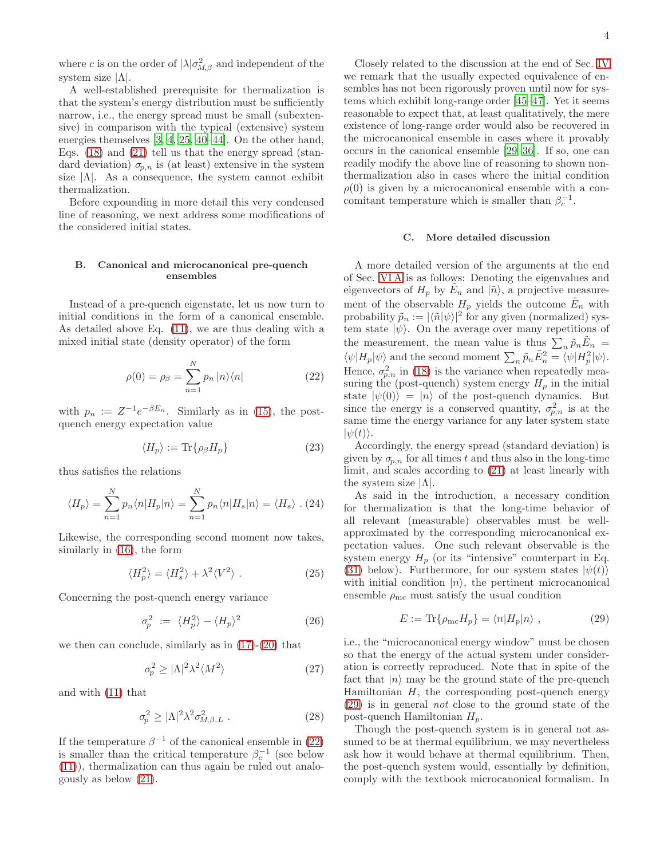where c is on the order of  $|\lambda|\sigma_{M,\beta}^2$  and independent of the system size  $|\Lambda|$ .

A well-established prerequisite for thermalization is that the system's energy distribution must be sufficiently narrow, i.e., the energy spread must be small (subextensive) in comparison with the typical (extensive) system energies themselves [\[3,](#page-6-2) [4,](#page-6-17) [25](#page-6-12), [40](#page-7-4)[–44](#page-7-5)]. On the other hand, Eqs. [\(18\)](#page-2-5) and [\(21\)](#page-2-6) tell us that the energy spread (standard deviation)  $\sigma_{p,n}$  is (at least) extensive in the system size  $|\Lambda|$ . As a consequence, the system cannot exhibit thermalization.

Before expounding in more detail this very condensed line of reasoning, we next address some modifications of the considered initial states.

## B. Canonical and microcanonical pre-quench ensembles

Instead of a pre-quench eigenstate, let us now turn to initial conditions in the form of a canonical ensemble. As detailed above Eq. [\(11\)](#page-1-4), we are thus dealing with a mixed initial state (density operator) of the form

<span id="page-3-0"></span>
$$
\rho(0) = \rho_{\beta} = \sum_{n=1}^{N} p_n |n\rangle\langle n|
$$
\n(22)

with  $p_n := Z^{-1}e^{-\beta E_n}$ . Similarly as in [\(15\)](#page-2-3), the postquench energy expectation value

$$
\langle H_p \rangle := \text{Tr}\{\rho_\beta H_p\} \tag{23}
$$

thus satisfies the relations

$$
\langle H_p \rangle = \sum_{n=1}^{N} p_n \langle n | H_p | n \rangle = \sum_{n=1}^{N} p_n \langle n | H_s | n \rangle = \langle H_s \rangle . (24)
$$

Likewise, the corresponding second moment now takes, similarly in [\(16\)](#page-2-4), the form

$$
\langle H_p^2 \rangle = \langle H_s^2 \rangle + \lambda^2 \langle V^2 \rangle . \tag{25}
$$

Concerning the post-quench energy variance

$$
\sigma_p^2 := \langle H_p^2 \rangle - \langle H_p \rangle^2 \tag{26}
$$

we then can conclude, similarly as in  $(17)-(20)$  $(17)-(20)$  that

$$
\sigma_p^2 \ge |\Lambda|^2 \lambda^2 \langle M^2 \rangle \tag{27}
$$

and with [\(11\)](#page-1-4) that

$$
\sigma_p^2 \ge |\Lambda|^2 \lambda^2 \sigma_{M,\beta,L}^2 \tag{28}
$$

If the temperature  $\beta^{-1}$  of the canonical ensemble in [\(22\)](#page-3-0) is smaller than the critical temperature  $\beta_c^{-1}$  (see below [\(11\)](#page-1-4)), thermalization can thus again be ruled out analogously as below [\(21\)](#page-2-6).

Closely related to the discussion at the end of Sec. [IV](#page-1-6) we remark that the usually expected equivalence of ensembles has not been rigorously proven until now for systems which exhibit long-range order [\[45](#page-7-6)[–47\]](#page-7-7). Yet it seems reasonable to expect that, at least qualitatively, the mere existence of long-range order would also be recovered in the microcanonical ensemble in cases where it provably occurs in the canonical ensemble [\[29](#page-6-16)[–36\]](#page-7-0). If so, one can readily modify the above line of reasoning to shown nonthermalization also in cases where the initial condition  $\rho(0)$  is given by a microcanonical ensemble with a concomitant temperature which is smaller than  $\beta_c^{-1}$ .

## C. More detailed discussion

A more detailed version of the arguments at the end of Sec. [VI A](#page-2-8) is as follows: Denoting the eigenvalues and eigenvectors of  $H_p$  by  $\tilde{E}_n$  and  $|\tilde{n}\rangle$ , a projective measurement of the observable  $H_p$  yields the outcome  $\tilde{E}_n$  with probability  $\tilde{p}_n := |\langle \tilde{n} | \psi \rangle|^2$  for any given (normalized) system state  $|\psi\rangle$ . On the average over many repetitions of the measurement, the mean value is thus  $\sum_n \tilde{p}_n \tilde{E}_n =$  $\langle \psi | H_p | \psi \rangle$  and the second moment  $\sum_n \tilde{p}_n \tilde{E}_n^2 = \langle \psi | H_p^2 | \psi \rangle$ . Hence,  $\sigma_{p,n}^2$  in [\(18\)](#page-2-5) is the variance when repeatedly measuring the (post-quench) system energy  $H_p$  in the initial state  $|\psi(0)\rangle = |n\rangle$  of the post-quench dynamics. But since the energy is a conserved quantity,  $\sigma_{p,n}^2$  is at the same time the energy variance for any later system state  $|\psi(t)\rangle.$ 

Accordingly, the energy spread (standard deviation) is given by  $\sigma_{p,n}$  for all times t and thus also in the long-time limit, and scales according to [\(21\)](#page-2-6) at least linearly with the system size  $|\Lambda|$ .

As said in the introduction, a necessary condition for thermalization is that the long-time behavior of all relevant (measurable) observables must be wellapproximated by the corresponding microcanonical expectation values. One such relevant observable is the system energy  $H_p$  (or its "intensive" counterpart in Eq. [\(31\)](#page-4-0) below). Furthermore, for our system states  $|\psi(t)\rangle$ with initial condition  $|n\rangle$ , the pertinent microcanonical ensemble  $\rho_{\rm mc}$  must satisfy the usual condition

<span id="page-3-1"></span>
$$
E := \text{Tr}\{\rho_{\text{mc}}H_p\} = \langle n|H_p|n\rangle \;, \tag{29}
$$

i.e., the "microcanonical energy window" must be chosen so that the energy of the actual system under consideration is correctly reproduced. Note that in spite of the fact that  $|n\rangle$  may be the ground state of the pre-quench Hamiltonian  $H$ , the corresponding post-quench energy [\(29\)](#page-3-1) is in general not close to the ground state of the post-quench Hamiltonian  $H_p$ .

Though the post-quench system is in general not assumed to be at thermal equilibrium, we may nevertheless ask how it would behave at thermal equilibrium. Then, the post-quench system would, essentially by definition, comply with the textbook microcanonical formalism. In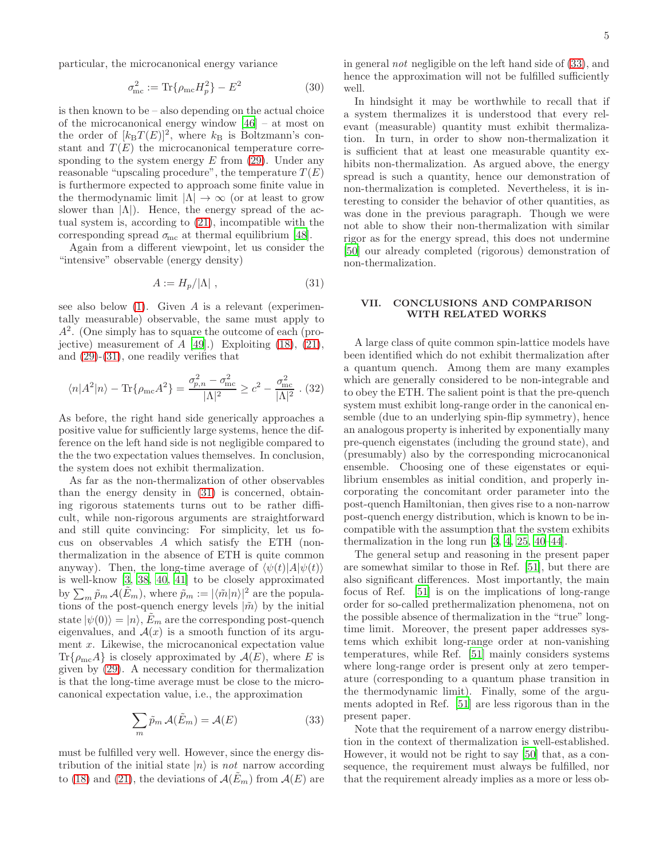particular, the microcanonical energy variance

$$
\sigma_{\rm mc}^2 := \text{Tr}\{\rho_{\rm mc} H_p^2\} - E^2 \tag{30}
$$

is then known to be – also depending on the actual choice of the microcanonical energy window [\[46\]](#page-7-8) – at most on the order of  $[k_B T(E)]^2$ , where  $k_B$  is Boltzmann's constant and  $T(E)$  the microcanonical temperature corresponding to the system energy  $E$  from [\(29\)](#page-3-1). Under any reasonable "upscaling procedure", the temperature  $T(E)$ is furthermore expected to approach some finite value in the thermodynamic limit  $|\Lambda| \to \infty$  (or at least to grow slower than  $|\Lambda|$ ). Hence, the energy spread of the actual system is, according to [\(21\)](#page-2-6), incompatible with the corresponding spread  $\sigma_{\text{mc}}$  at thermal equilibrium [\[48\]](#page-7-9).

Again from a different viewpoint, let us consider the "intensive" observable (energy density)

<span id="page-4-0"></span>
$$
A := H_p / |\Lambda| \;, \tag{31}
$$

see also below  $(1)$ . Given A is a relevant (experimentally measurable) observable, the same must apply to  $A<sup>2</sup>$ . (One simply has to square the outcome of each (projective) measurement of  $A$  [\[49](#page-7-10)].) Exploiting [\(18\)](#page-2-5), [\(21\)](#page-2-6), and [\(29\)](#page-3-1)-[\(31\)](#page-4-0), one readily verifies that

$$
\langle n|A^2|n\rangle - \text{Tr}\{\rho_{\text{mc}}A^2\} = \frac{\sigma_{p,n}^2 - \sigma_{\text{mc}}^2}{|\Lambda|^2} \ge c^2 - \frac{\sigma_{\text{mc}}^2}{|\Lambda|^2} \tag{32}
$$

As before, the right hand side generically approaches a positive value for sufficiently large systems, hence the difference on the left hand side is not negligible compared to the the two expectation values themselves. In conclusion, the system does not exhibit thermalization.

As far as the non-thermalization of other observables than the energy density in [\(31\)](#page-4-0) is concerned, obtaining rigorous statements turns out to be rather difficult, while non-rigorous arguments are straightforward and still quite convincing: For simplicity, let us focus on observables A which satisfy the ETH (nonthermalization in the absence of ETH is quite common anyway). Then, the long-time average of  $\langle \psi(t)|A|\psi(t)\rangle$ is well-know [\[3](#page-6-2), [38](#page-7-2), [40](#page-7-4), [41](#page-7-11)] to be closely approximated by  $\sum_m \tilde{p}_m \mathcal{A}(\tilde{E}_m)$ , where  $\tilde{p}_m := |\langle \tilde{m} | n \rangle|^2$  are the populations of the post-quench energy levels  $|\tilde{m}\rangle$  by the initial state  $|\psi(0)\rangle = |n\rangle$ ,  $E_m$  are the corresponding post-quench eigenvalues, and  $A(x)$  is a smooth function of its argument x. Likewise, the microcanonical expectation value  $\text{Tr}\{\rho_{\text{mc}}A\}$  is closely approximated by  $\mathcal{A}(E)$ , where E is given by [\(29\)](#page-3-1). A necessary condition for thermalization is that the long-time average must be close to the microcanonical expectation value, i.e., the approximation

<span id="page-4-1"></span>
$$
\sum_{m} \tilde{p}_m \mathcal{A}(\tilde{E}_m) = \mathcal{A}(E)
$$
\n(33)

must be fulfilled very well. However, since the energy distribution of the initial state  $|n\rangle$  is not narrow according to [\(18\)](#page-2-5) and [\(21\)](#page-2-6), the deviations of  $\mathcal{A}(E_m)$  from  $\mathcal{A}(E)$  are in general not negligible on the left hand side of [\(33\)](#page-4-1), and hence the approximation will not be fulfilled sufficiently well.

In hindsight it may be worthwhile to recall that if a system thermalizes it is understood that every relevant (measurable) quantity must exhibit thermalization. In turn, in order to show non-thermalization it is sufficient that at least one measurable quantity exhibits non-thermalization. As argued above, the energy spread is such a quantity, hence our demonstration of non-thermalization is completed. Nevertheless, it is interesting to consider the behavior of other quantities, as was done in the previous paragraph. Though we were not able to show their non-thermalization with similar rigor as for the energy spread, this does not undermine [\[50\]](#page-7-12) our already completed (rigorous) demonstration of non-thermalization.

# VII. CONCLUSIONS AND COMPARISON WITH RELATED WORKS

A large class of quite common spin-lattice models have been identified which do not exhibit thermalization after a quantum quench. Among them are many examples which are generally considered to be non-integrable and to obey the ETH. The salient point is that the pre-quench system must exhibit long-range order in the canonical ensemble (due to an underlying spin-flip symmetry), hence an analogous property is inherited by exponentially many pre-quench eigenstates (including the ground state), and (presumably) also by the corresponding microcanonical ensemble. Choosing one of these eigenstates or equilibrium ensembles as initial condition, and properly incorporating the concomitant order parameter into the post-quench Hamiltonian, then gives rise to a non-narrow post-quench energy distribution, which is known to be incompatible with the assumption that the system exhibits thermalization in the long run [\[3,](#page-6-2) [4,](#page-6-17) [25,](#page-6-12) [40](#page-7-4)[–44](#page-7-5)].

The general setup and reasoning in the present paper are somewhat similar to those in Ref. [\[51\]](#page-7-13), but there are also significant differences. Most importantly, the main focus of Ref. [\[51\]](#page-7-13) is on the implications of long-range order for so-called prethermalization phenomena, not on the possible absence of thermalization in the "true" longtime limit. Moreover, the present paper addresses systems which exhibit long-range order at non-vanishing temperatures, while Ref. [\[51\]](#page-7-13) mainly considers systems where long-range order is present only at zero temperature (corresponding to a quantum phase transition in the thermodynamic limit). Finally, some of the arguments adopted in Ref. [\[51](#page-7-13)] are less rigorous than in the present paper.

Note that the requirement of a narrow energy distribution in the context of thermalization is well-established. However, it would not be right to say [\[50](#page-7-12)] that, as a consequence, the requirement must always be fulfilled, nor that the requirement already implies as a more or less ob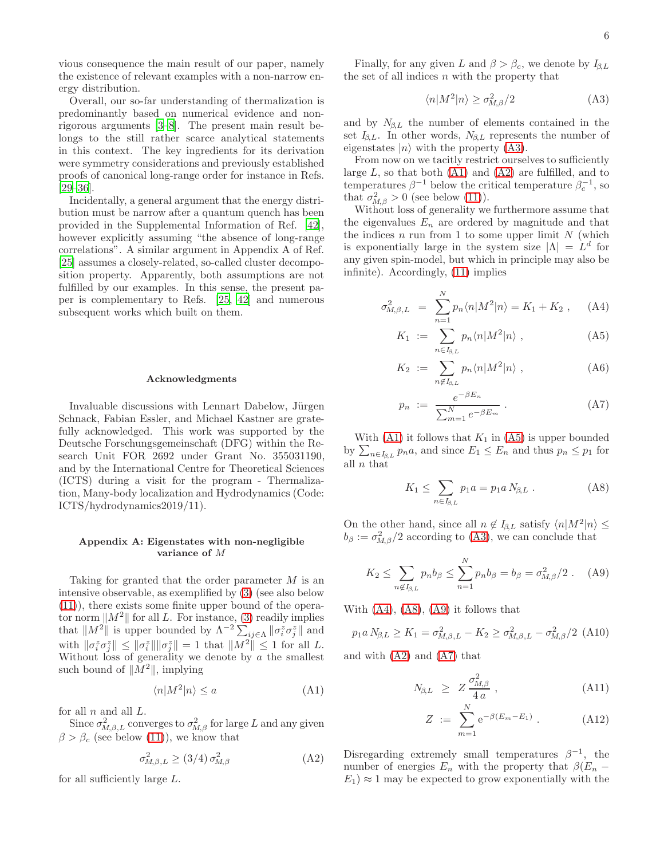vious consequence the main result of our paper, namely the existence of relevant examples with a non-narrow energy distribution.

Overall, our so-far understanding of thermalization is predominantly based on numerical evidence and nonrigorous arguments [\[3](#page-6-2)[–8\]](#page-6-3). The present main result belongs to the still rather scarce analytical statements in this context. The key ingredients for its derivation were symmetry considerations and previously established proofs of canonical long-range order for instance in Refs.  $[29-36]$  $[29-36]$ .

Incidentally, a general argument that the energy distribution must be narrow after a quantum quench has been provided in the Supplemental Information of Ref. [\[42\]](#page-7-14), however explicitly assuming "the absence of long-range correlations". A similar argument in Appendix A of Ref. [\[25\]](#page-6-12) assumes a closely-related, so-called cluster decomposition property. Apparently, both assumptions are not fulfilled by our examples. In this sense, the present paper is complementary to Refs. [\[25,](#page-6-12) [42](#page-7-14)] and numerous subsequent works which built on them.

#### Acknowledgments

Invaluable discussions with Lennart Dabelow, Jürgen Schnack, Fabian Essler, and Michael Kastner are gratefully acknowledged. This work was supported by the Deutsche Forschungsgemeinschaft (DFG) within the Research Unit FOR 2692 under Grant No. 355031190, and by the International Centre for Theoretical Sciences (ICTS) during a visit for the program - Thermalization, Many-body localization and Hydrodynamics (Code: ICTS/hydrodynamics2019/11).

# Appendix A: Eigenstates with non-negligible variance of M

Taking for granted that the order parameter M is an intensive observable, as exemplified by [\(3\)](#page-0-0) (see also below [\(11\)](#page-1-4)), there exists some finite upper bound of the operator norm  $||M^2||$  for all L. For instance, [\(3\)](#page-0-0) readily implies that  $||M^2||$  is upper bounded by  $\Lambda^{-2} \sum_{ij \in \Lambda} ||\sigma_i^z \sigma_j^z||$  and with  $\|\sigma_i^z \sigma_j^z\| \le \|\sigma_i^z\| \|\sigma_j^z\| = 1$  that  $\|M^2\| \le 1$  for all L. Without loss of generality we denote by  $\alpha$  the smallest such bound of  $||M^2||$ , implying

<span id="page-5-1"></span>
$$
\langle n|M^2|n\rangle \le a \tag{A1}
$$

for all  $n$  and all  $L$ .

Since  $\sigma_{M,\beta,L}^2$  converges to  $\sigma_{M,\beta}^2$  for large L and any given  $\beta > \beta_c$  (see below [\(11\)](#page-1-4)), we know that

<span id="page-5-2"></span>
$$
\sigma_{M,\beta,L}^2 \ge (3/4) \sigma_{M,\beta}^2 \tag{A2}
$$

for all sufficiently large L.

Finally, for any given L and  $\beta > \beta_c$ , we denote by  $I_{\beta,L}$ the set of all indices  $n$  with the property that

<span id="page-5-0"></span>
$$
\langle n|M^2|n\rangle \ge \sigma_{M,\beta}^2/2\tag{A3}
$$

and by  $N_{\beta,L}$  the number of elements contained in the set  $I_{\beta,L}$ . In other words,  $N_{\beta,L}$  represents the number of eigenstates  $|n\rangle$  with the property [\(A3\)](#page-5-0).

From now on we tacitly restrict ourselves to sufficiently large  $L$ , so that both  $(A1)$  and  $(A2)$  are fulfilled, and to temperatures  $\beta^{-1}$  below the critical temperature  $\beta_c^{-1}$ , so that  $\sigma_{M,\beta}^2 > 0$  (see below [\(11\)](#page-1-4)).

Without loss of generality we furthermore assume that the eigenvalues  $E_n$  are ordered by magnitude and that the indices  $n$  run from 1 to some upper limit  $N$  (which is exponentially large in the system size  $|\Lambda| = L^d$  for any given spin-model, but which in principle may also be infinite). Accordingly, [\(11\)](#page-1-4) implies

<span id="page-5-3"></span>
$$
\sigma_{M,\beta,L}^2 = \sum_{n=1}^N p_n \langle n | M^2 | n \rangle = K_1 + K_2 \,, \quad \text{(A4)}
$$

$$
K_1 := \sum_{n \in I_{\beta, L}} p_n \langle n | M^2 | n \rangle , \qquad (A5)
$$

$$
K_2 := \sum_{n \notin I_{\beta, L}} p_n \langle n | M^2 | n \rangle , \qquad (A6)
$$

$$
p_n := \frac{e^{-\beta E_n}}{\sum_{m=1}^N e^{-\beta E_m}}.
$$
\n(A7)

With  $(A1)$  it follows that  $K_1$  in  $(A5)$  is upper bounded by  $\sum_{n\in I_{\beta,L}} p_n a$ , and since  $E_1 \leq E_n$  and thus  $p_n \leq p_1$  for all  $n$  that

<span id="page-5-4"></span>
$$
K_1 \le \sum_{n \in I_{\beta, L}} p_1 a = p_1 a N_{\beta, L} . \tag{A8}
$$

On the other hand, since all  $n \notin I_{\beta,L}$  satisfy  $\langle n|M^2|n\rangle \leq$  $b_{\beta} := \sigma_{M,\beta}^2/2$  according to [\(A3\)](#page-5-0), we can conclude that

<span id="page-5-5"></span>
$$
K_2 \le \sum_{n \notin I_{\beta,L}} p_n b_\beta \le \sum_{n=1}^N p_n b_\beta = b_\beta = \sigma_{M,\beta}^2/2 \ . \tag{A9}
$$

With  $(A4)$ ,  $(A8)$ ,  $(A9)$  it follows that

$$
p_1 a N_{\beta,L} \ge K_1 = \sigma_{M,\beta,L}^2 - K_2 \ge \sigma_{M,\beta,L}^2 - \sigma_{M,\beta}^2 / 2 \text{ (A10)}
$$

and with [\(A2\)](#page-5-2) and [\(A7\)](#page-5-3) that

<span id="page-5-6"></span>
$$
N_{\beta,L} \geq Z \frac{\sigma_{M,\beta}^2}{4 a} \,, \tag{A11}
$$

$$
Z := \sum_{m=1}^{N} e^{-\beta (E_m - E_1)}.
$$
 (A12)

Disregarding extremely small temperatures  $\beta^{-1}$ , the number of energies  $E_n$  with the property that  $\beta(E_n E_1$ )  $\approx$  1 may be expected to grow exponentially with the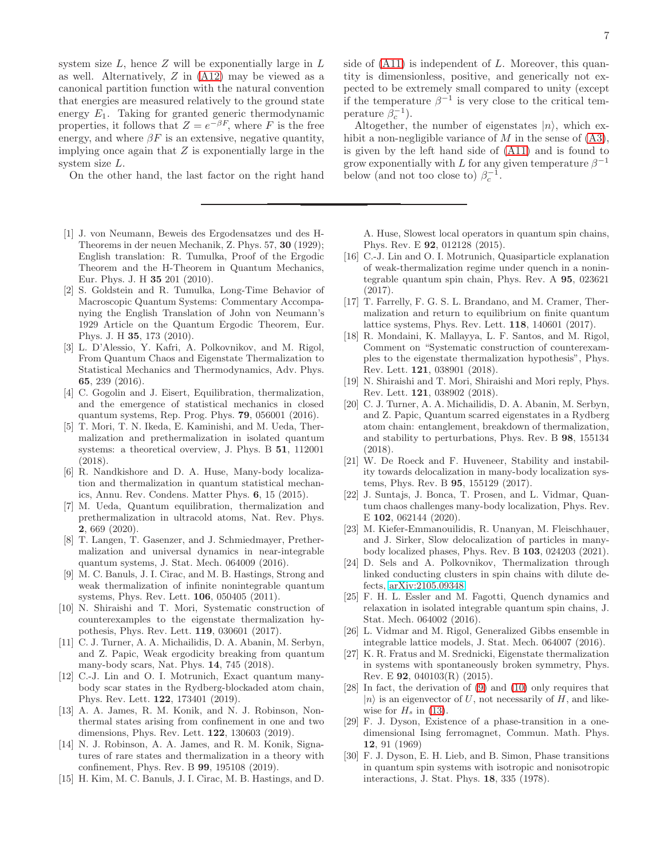system size  $L$ , hence  $Z$  will be exponentially large in  $L$ as well. Alternatively,  $Z$  in  $(A12)$  may be viewed as a canonical partition function with the natural convention that energies are measured relatively to the ground state energy  $E_1$ . Taking for granted generic thermodynamic properties, it follows that  $Z = e^{-\beta F}$ , where F is the free energy, and where  $\beta F$  is an extensive, negative quantity, implying once again that  $Z$  is exponentially large in the system size L.

On the other hand, the last factor on the right hand

- <span id="page-6-0"></span>[1] J. von Neumann, Beweis des Ergodensatzes und des H-Theorems in der neuen Mechanik, Z. Phys. 57, 30 (1929); English translation: R. Tumulka, Proof of the Ergodic Theorem and the H-Theorem in Quantum Mechanics, Eur. Phys. J. H 35 201 (2010).
- <span id="page-6-1"></span>[2] S. Goldstein and R. Tumulka, Long-Time Behavior of Macroscopic Quantum Systems: Commentary Accompanying the English Translation of John von Neumann's 1929 Article on the Quantum Ergodic Theorem, Eur. Phys. J. H 35, 173 (2010).
- <span id="page-6-2"></span>[3] L. D'Alessio, Y. Kafri, A. Polkovnikov, and M. Rigol, From Quantum Chaos and Eigenstate Thermalization to Statistical Mechanics and Thermodynamics, Adv. Phys. 65, 239 (2016).
- <span id="page-6-17"></span>[4] C. Gogolin and J. Eisert, Equilibration, thermalization, and the emergence of statistical mechanics in closed quantum systems, Rep. Prog. Phys. 79, 056001 (2016).
- <span id="page-6-11"></span>[5] T. Mori, T. N. Ikeda, E. Kaminishi, and M. Ueda, Thermalization and prethermalization in isolated quantum systems: a theoretical overview, J. Phys. B 51, 112001 (2018).
- <span id="page-6-8"></span>[6] R. Nandkishore and D. A. Huse, Many-body localization and thermalization in quantum statistical mechanics, Annu. Rev. Condens. Matter Phys. 6, 15 (2015).
- [7] M. Ueda, Quantum equilibration, thermalization and prethermalization in ultracold atoms, Nat. Rev. Phys. 2, 669 (2020).
- <span id="page-6-3"></span>[8] T. Langen, T. Gasenzer, and J. Schmiedmayer, Prethermalization and universal dynamics in near-integrable quantum systems, J. Stat. Mech. 064009 (2016).
- <span id="page-6-4"></span>[9] M. C. Banuls, J. I. Cirac, and M. B. Hastings, Strong and weak thermalization of infinite nonintegrable quantum systems, Phys. Rev. Lett. 106, 050405 (2011).
- [10] N. Shiraishi and T. Mori, Systematic construction of counterexamples to the eigenstate thermalization hypothesis, Phys. Rev. Lett. 119, 030601 (2017).
- [11] C. J. Turner, A. A. Michailidis, D. A. Abanin, M. Serbyn, and Z. Papic, Weak ergodicity breaking from quantum many-body scars, Nat. Phys. 14, 745 (2018).
- [12] C.-J. Lin and O. I. Motrunich, Exact quantum manybody scar states in the Rydberg-blockaded atom chain, Phys. Rev. Lett. 122, 173401 (2019).
- [13] A. A. James, R. M. Konik, and N. J. Robinson, Nonthermal states arising from confinement in one and two dimensions, Phys. Rev. Lett. 122, 130603 (2019).
- <span id="page-6-5"></span>[14] N. J. Robinson, A. A. James, and R. M. Konik, Signatures of rare states and thermalization in a theory with confinement, Phys. Rev. B 99, 195108 (2019).
- <span id="page-6-6"></span>[15] H. Kim, M. C. Banuls, J. I. Cirac, M. B. Hastings, and D.

side of  $(A11)$  is independent of L. Moreover, this quantity is dimensionless, positive, and generically not expected to be extremely small compared to unity (except if the temperature  $\beta^{-1}$  is very close to the critical temperature  $\beta_c^{-1}$ ).

Altogether, the number of eigenstates  $|n\rangle$ , which exhibit a non-negligible variance of  $M$  in the sense of  $(A3)$ , is given by the left hand side of [\(A11\)](#page-5-6) and is found to grow exponentially with L for any given temperature  $\beta^{-1}$ below (and not too close to)  $\beta_c^{-1}$ .

A. Huse, Slowest local operators in quantum spin chains, Phys. Rev. E 92, 012128 (2015).

- [16] C.-J. Lin and O. I. Motrunich, Quasiparticle explanation of weak-thermalization regime under quench in a nonintegrable quantum spin chain, Phys. Rev. A 95, 023621 (2017).
- [17] T. Farrelly, F. G. S. L. Brandano, and M. Cramer, Thermalization and return to equilibrium on finite quantum lattice systems, Phys. Rev. Lett. 118, 140601 (2017).
- [18] R. Mondaini, K. Mallayya, L. F. Santos, and M. Rigol, Comment on "Systematic construction of counterexamples to the eigenstate thermalization hypothesis", Phys. Rev. Lett. 121, 038901 (2018).
- [19] N. Shiraishi and T. Mori, Shiraishi and Mori reply, Phys. Rev. Lett. 121, 038902 (2018).
- <span id="page-6-7"></span>[20] C. J. Turner, A. A. Michailidis, D. A. Abanin, M. Serbyn, and Z. Papic, Quantum scarred eigenstates in a Rydberg atom chain: entanglement, breakdown of thermalization, and stability to perturbations, Phys. Rev. B 98, 155134 (2018).
- <span id="page-6-9"></span>[21] W. De Roeck and F. Huveneer, Stability and instability towards delocalization in many-body localization systems, Phys. Rev. B 95, 155129 (2017).
- [22] J. Suntajs, J. Bonca, T. Prosen, and L. Vidmar, Quantum chaos challenges many-body localization, Phys. Rev. E 102, 062144 (2020).
- [23] M. Kiefer-Emmanouilidis, R. Unanyan, M. Fleischhauer, and J. Sirker, Slow delocalization of particles in manybody localized phases, Phys. Rev. B 103, 024203 (2021).
- <span id="page-6-10"></span>[24] D. Sels and A. Polkovnikov, Thermalization through linked conducting clusters in spin chains with dilute defects, [arXiv:2105.09348](http://arxiv.org/abs/2105.09348)
- <span id="page-6-12"></span>[25] F. H. L. Essler and M. Fagotti, Quench dynamics and relaxation in isolated integrable quantum spin chains, J. Stat. Mech. 064002 (2016).
- <span id="page-6-13"></span>[26] L. Vidmar and M. Rigol, Generalized Gibbs ensemble in integrable lattice models, J. Stat. Mech. 064007 (2016).
- <span id="page-6-14"></span>[27] K. R. Fratus and M. Srednicki, Eigenstate thermalization in systems with spontaneously broken symmetry, Phys. Rev. E 92, 040103(R) (2015).
- <span id="page-6-15"></span>[28] In fact, the derivation of [\(9\)](#page-1-3) and [\(10\)](#page-1-5) only requires that  $|n\rangle$  is an eigenvector of U, not necessarily of H, and likewise for  $H_s$  in [\(13\)](#page-2-0).
- <span id="page-6-16"></span>[29] F. J. Dyson, Existence of a phase-transition in a onedimensional Ising ferromagnet, Commun. Math. Phys. 12, 91 (1969)
- [30] F. J. Dyson, E. H. Lieb, and B. Simon, Phase transitions in quantum spin systems with isotropic and nonisotropic interactions, J. Stat. Phys. 18, 335 (1978).